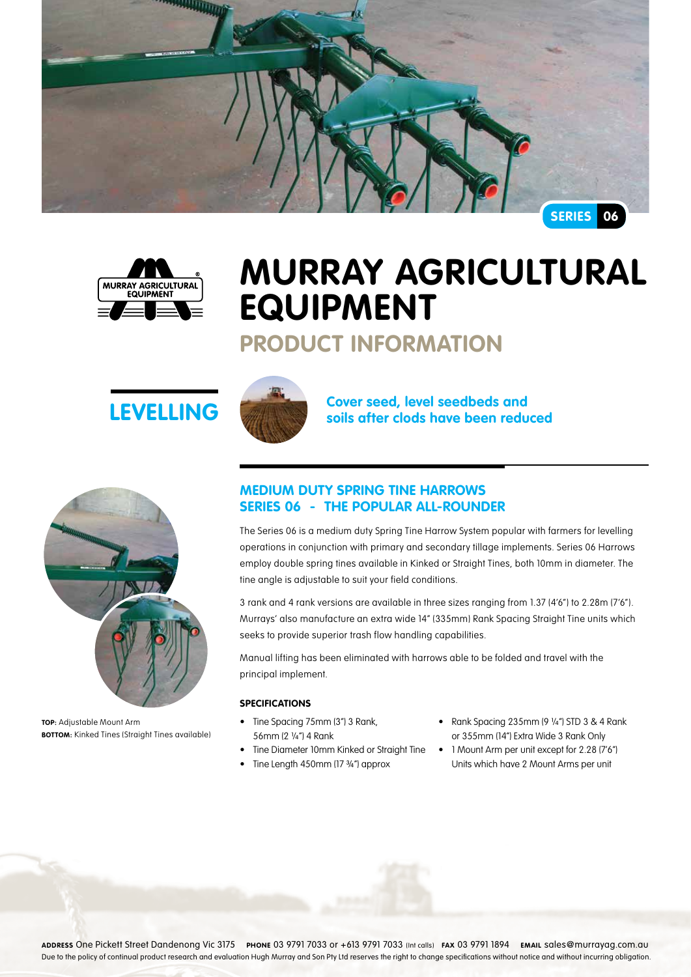



# **Murray Agricultural Equipment**

# **Product Information**





**TOP:** Adjustable Mount Arm **Bottom:** Kinked Tines (Straight Tines available)



**LEVELLING Cover seed, level seedbeds and soils after clods have been reduced** 

## **Medium Duty Spring Tine Harrows Series 06 - The popular all-rounder**

The Series 06 is a medium duty Spring Tine Harrow System popular with farmers for levelling operations in conjunction with primary and secondary tillage implements. Series 06 Harrows employ double spring tines available in Kinked or Straight Tines, both 10mm in diameter. The tine angle is adjustable to suit your field conditions.

3 rank and 4 rank versions are available in three sizes ranging from 1.37 (4'6") to 2.28m (7'6"). Murrays' also manufacture an extra wide 14" (335mm) Rank Spacing Straight Tine units which seeks to provide superior trash flow handling capabilities.

Manual lifting has been eliminated with harrows able to be folded and travel with the principal implement.

#### **Specifications**

- Tine Spacing 75mm (3") 3 Rank, 56mm (2 ¼") 4 Rank
- Tine Diameter 10mm Kinked or Straight Tine
- Tine Length 450mm (17 3/4") approx
- • Rank Spacing 235mm (9 ¼") STD 3 & 4 Rank or 355mm (14") Extra Wide 3 Rank Only
- 1 Mount Arm per unit except for 2.28 (7'6") Units which have 2 Mount Arms per unit

**Address** One Pickett Street Dandenong Vic 3175 **Phone** 03 9791 7033 or +613 9791 7033 (Int calls) **Fax** 03 9791 1894 **Email** sales@murrayag.com.au Due to the policy of continual product research and evaluation Hugh Murray and Son Pty Ltd reserves the right to change specifications without notice and without incurring obligation.